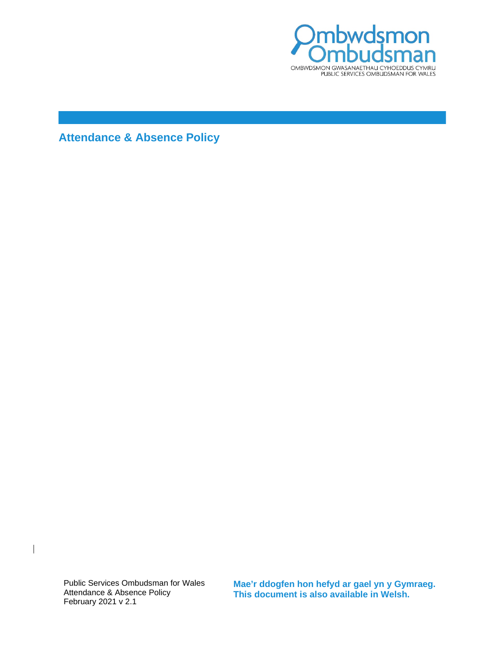

**Attendance & Absence Policy**

Public Services Ombudsman for Wales Attendance & Absence Policy February 2021 v 2.1

 $\overline{\phantom{a}}$ 

**Mae'r ddogfen hon hefyd ar gael yn y Gymraeg. This document is also available in Welsh.**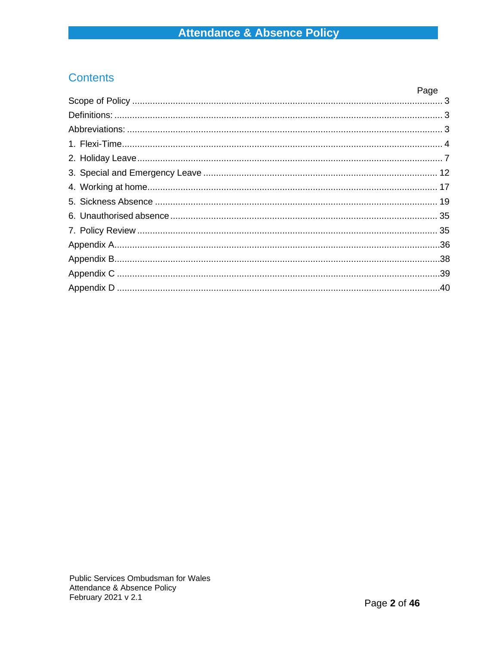# **Contents**

| Page |
|------|
|      |
|      |
|      |
|      |
|      |
|      |
|      |
|      |
|      |
|      |
|      |
|      |
|      |
|      |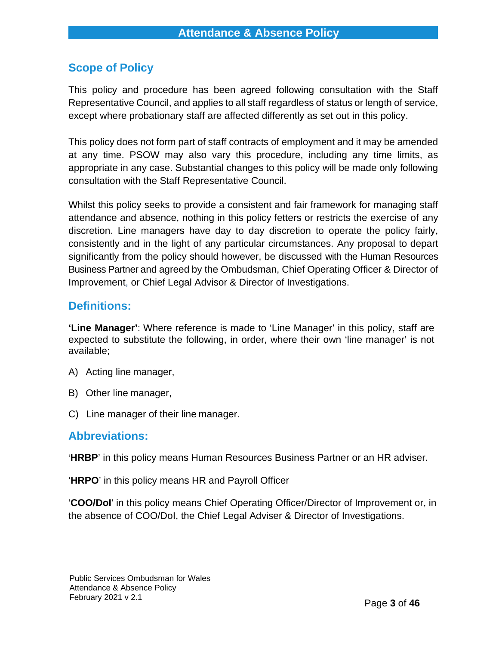# <span id="page-2-0"></span>**Scope of Policy**

This policy and procedure has been agreed following consultation with the Staff Representative Council, and applies to all staff regardless of status or length of service, except where probationary staff are affected differently as set out in this policy.

This policy does not form part of staff contracts of employment and it may be amended at any time. PSOW may also vary this procedure, including any time limits, as appropriate in any case. Substantial changes to this policy will be made only following consultation with the Staff Representative Council.

Whilst this policy seeks to provide a consistent and fair framework for managing staff attendance and absence, nothing in this policy fetters or restricts the exercise of any discretion. Line managers have day to day discretion to operate the policy fairly, consistently and in the light of any particular circumstances. Any proposal to depart significantly from the policy should however, be discussed with the Human Resources Business Partner and agreed by the Ombudsman, Chief Operating Officer & Director of Improvement, or Chief Legal Advisor & Director of Investigations.

# <span id="page-2-1"></span>**Definitions:**

**'Line Manager'**: Where reference is made to 'Line Manager' in this policy, staff are expected to substitute the following, in order, where their own 'line manager' is not available;

- A) Acting line manager,
- B) Other line manager,
- C) Line manager of their line manager.

# <span id="page-2-2"></span>**Abbreviations:**

'**HRBP**' in this policy means Human Resources Business Partner or an HR adviser.

'**HRPO**' in this policy means HR and Payroll Officer

'**COO/DoI**' in this policy means Chief Operating Officer/Director of Improvement or, in the absence of COO/DoI, the Chief Legal Adviser & Director of Investigations.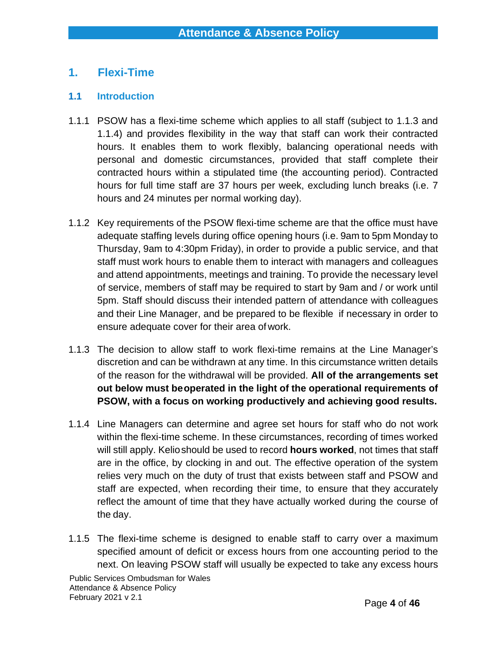# <span id="page-3-0"></span>**1. Flexi-Time**

#### **1.1 Introduction**

- 1.1.1 PSOW has a flexi-time scheme which applies to all staff (subject to 1.1.3 and 1.1.4) and provides flexibility in the way that staff can work their contracted hours. It enables them to work flexibly, balancing operational needs with personal and domestic circumstances, provided that staff complete their contracted hours within a stipulated time (the accounting period). Contracted hours for full time staff are 37 hours per week, excluding lunch breaks (i.e. 7 hours and 24 minutes per normal working day).
- 1.1.2 Key requirements of the PSOW flexi-time scheme are that the office must have adequate staffing levels during office opening hours (i.e. 9am to 5pm Monday to Thursday, 9am to 4:30pm Friday), in order to provide a public service, and that staff must work hours to enable them to interact with managers and colleagues and attend appointments, meetings and training. To provide the necessary level of service, members of staff may be required to start by 9am and / or work until 5pm. Staff should discuss their intended pattern of attendance with colleagues and their Line Manager, and be prepared to be flexible if necessary in order to ensure adequate cover for their area ofwork.
- 1.1.3 The decision to allow staff to work flexi-time remains at the Line Manager's discretion and can be withdrawn at any time. In this circumstance written details of the reason for the withdrawal will be provided. **All of the arrangements set out below must beoperated in the light of the operational requirements of PSOW, with a focus on working productively and achieving good results.**
- 1.1.4 Line Managers can determine and agree set hours for staff who do not work within the flexi-time scheme. In these circumstances, recording of times worked will still apply. Kelioshould be used to record **hours worked**, not times that staff are in the office, by clocking in and out. The effective operation of the system relies very much on the duty of trust that exists between staff and PSOW and staff are expected, when recording their time, to ensure that they accurately reflect the amount of time that they have actually worked during the course of the day.
- 1.1.5 The flexi-time scheme is designed to enable staff to carry over a maximum specified amount of deficit or excess hours from one accounting period to the next. On leaving PSOW staff will usually be expected to take any excess hours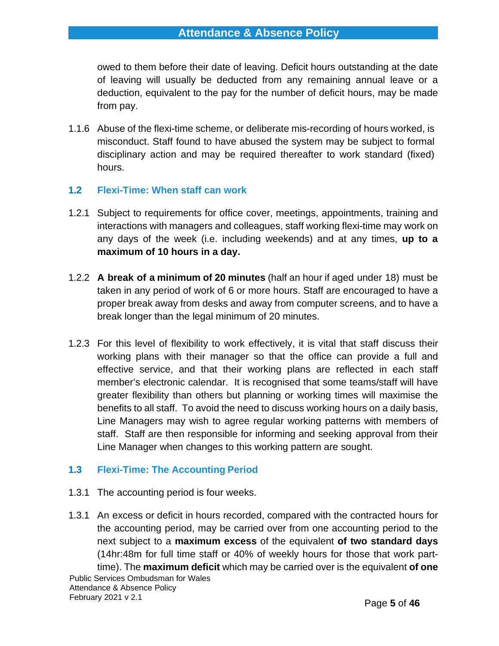owed to them before their date of leaving. Deficit hours outstanding at the date of leaving will usually be deducted from any remaining annual leave or a deduction, equivalent to the pay for the number of deficit hours, may be made from pay.

- 1.1.6 Abuse of the flexi-time scheme, or deliberate mis-recording of hours worked, is misconduct. Staff found to have abused the system may be subject to formal disciplinary action and may be required thereafter to work standard (fixed) hours.
- **1.2 Flexi-Time: When staff can work**
- 1.2.1 Subject to requirements for office cover, meetings, appointments, training and interactions with managers and colleagues, staff working flexi-time may work on any days of the week (i.e. including weekends) and at any times, **up to a maximum of 10 hours in a day.**
- 1.2.2 **A break of a minimum of 20 minutes** (half an hour if aged under 18) must be taken in any period of work of 6 or more hours. Staff are encouraged to have a proper break away from desks and away from computer screens, and to have a break longer than the legal minimum of 20 minutes.
- 1.2.3 For this level of flexibility to work effectively, it is vital that staff discuss their working plans with their manager so that the office can provide a full and effective service, and that their working plans are reflected in each staff member's electronic calendar. It is recognised that some teams/staff will have greater flexibility than others but planning or working times will maximise the benefits to all staff. To avoid the need to discuss working hours on a daily basis, Line Managers may wish to agree regular working patterns with members of staff. Staff are then responsible for informing and seeking approval from their Line Manager when changes to this working pattern are sought.

#### **1.3 Flexi-Time: The Accounting Period**

- 1.3.1 The accounting period is four weeks.
- Public Services Ombudsman for Wales Attendance & Absence Policy February 2021 v 2.1 1.3.1 An excess or deficit in hours recorded, compared with the contracted hours for the accounting period, may be carried over from one accounting period to the next subject to a **maximum excess** of the equivalent **of two standard days**  (14hr:48m for full time staff or 40% of weekly hours for those that work parttime). The **maximum deficit** which may be carried over is the equivalent **of one**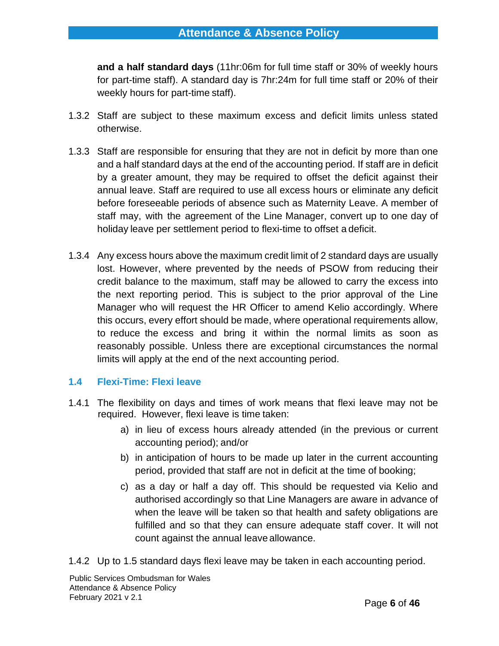**and a half standard days** (11hr:06m for full time staff or 30% of weekly hours for part-time staff). A standard day is 7hr:24m for full time staff or 20% of their weekly hours for part-time staff).

- 1.3.2 Staff are subject to these maximum excess and deficit limits unless stated otherwise.
- 1.3.3 Staff are responsible for ensuring that they are not in deficit by more than one and a half standard days at the end of the accounting period. If staff are in deficit by a greater amount, they may be required to offset the deficit against their annual leave. Staff are required to use all excess hours or eliminate any deficit before foreseeable periods of absence such as Maternity Leave. A member of staff may, with the agreement of the Line Manager, convert up to one day of holiday leave per settlement period to flexi-time to offset a deficit.
- 1.3.4 Any excess hours above the maximum credit limit of 2 standard days are usually lost. However, where prevented by the needs of PSOW from reducing their credit balance to the maximum, staff may be allowed to carry the excess into the next reporting period. This is subject to the prior approval of the Line Manager who will request the HR Officer to amend Kelio accordingly. Where this occurs, every effort should be made, where operational requirements allow, to reduce the excess and bring it within the normal limits as soon as reasonably possible. Unless there are exceptional circumstances the normal limits will apply at the end of the next accounting period.

# **1.4 Flexi-Time: Flexi leave**

- 1.4.1 The flexibility on days and times of work means that flexi leave may not be required. However, flexi leave is time taken:
	- a) in lieu of excess hours already attended (in the previous or current accounting period); and/or
	- b) in anticipation of hours to be made up later in the current accounting period, provided that staff are not in deficit at the time of booking;
	- c) as a day or half a day off. This should be requested via Kelio and authorised accordingly so that Line Managers are aware in advance of when the leave will be taken so that health and safety obligations are fulfilled and so that they can ensure adequate staff cover. It will not count against the annual leave allowance.

1.4.2 Up to 1.5 standard days flexi leave may be taken in each accounting period.

Public Services Ombudsman for Wales Attendance & Absence Policy February 2021 v 2.1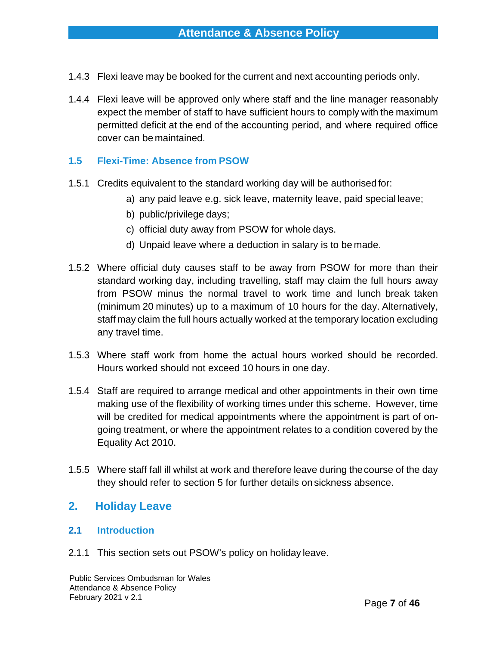- 1.4.3 Flexi leave may be booked for the current and next accounting periods only.
- 1.4.4 Flexi leave will be approved only where staff and the line manager reasonably expect the member of staff to have sufficient hours to comply with the maximum permitted deficit at the end of the accounting period, and where required office cover can be maintained.

## **1.5 Flexi-Time: Absence from PSOW**

- 1.5.1 Credits equivalent to the standard working day will be authorised for:
	- a) any paid leave e.g. sick leave, maternity leave, paid special leave;
	- b) public/privilege days;
	- c) official duty away from PSOW for whole days.
	- d) Unpaid leave where a deduction in salary is to be made.
- 1.5.2 Where official duty causes staff to be away from PSOW for more than their standard working day, including travelling, staff may claim the full hours away from PSOW minus the normal travel to work time and lunch break taken (minimum 20 minutes) up to a maximum of 10 hours for the day. Alternatively, staff may claim the full hours actually worked at the temporary location excluding any travel time.
- 1.5.3 Where staff work from home the actual hours worked should be recorded. Hours worked should not exceed 10 hours in one day.
- 1.5.4 Staff are required to arrange medical and other appointments in their own time making use of the flexibility of working times under this scheme. However, time will be credited for medical appointments where the appointment is part of ongoing treatment, or where the appointment relates to a condition covered by the Equality Act 2010.
- 1.5.5 Where staff fall ill whilst at work and therefore leave during thecourse of the day they should refer to section 5 for further details on sickness absence.

# <span id="page-6-0"></span>**2. Holiday Leave**

#### **2.1 Introduction**

2.1.1 This section sets out PSOW's policy on holiday leave.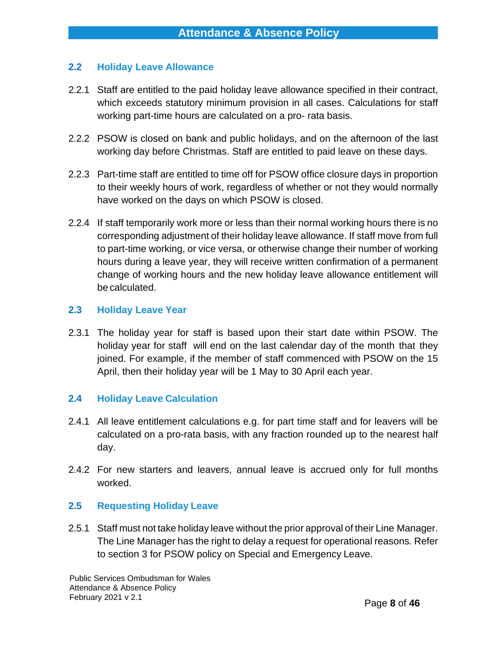#### **2.2 Holiday Leave Allowance**

- 2.2.1 Staff are entitled to the paid holiday leave allowance specified in their contract, which exceeds statutory minimum provision in all cases. Calculations for staff working part-time hours are calculated on a pro- rata basis.
- 2.2.2 PSOW is closed on bank and public holidays, and on the afternoon of the last working day before Christmas. Staff are entitled to paid leave on these days.
- 2.2.3 Part-time staff are entitled to time off for PSOW office closure days in proportion to their weekly hours of work, regardless of whether or not they would normally have worked on the days on which PSOW is closed.
- 2.2.4 If staff temporarily work more or less than their normal working hours there is no corresponding adjustment of their holiday leave allowance. If staff move from full to part-time working, or vice versa, or otherwise change their number of working hours during a leave year, they will receive written confirmation of a permanent change of working hours and the new holiday leave allowance entitlement will be calculated.

#### **2.3 Holiday Leave Year**

2.3.1 The holiday year for staff is based upon their start date within PSOW. The holiday year for staff will end on the last calendar day of the month that they joined. For example, if the member of staff commenced with PSOW on the 15 April, then their holiday year will be 1 May to 30 April each year.

#### **2.4 Holiday Leave Calculation**

- 2.4.1 All leave entitlement calculations e.g. for part time staff and for leavers will be calculated on a pro-rata basis, with any fraction rounded up to the nearest half day.
- 2.4.2 For new starters and leavers, annual leave is accrued only for full months worked.

#### **2.5 Requesting Holiday Leave**

2.5.1 Staff must not take holiday leave without the prior approval of their Line Manager. The Line Manager has the right to delay a request for operational reasons*.* Refer to section 3 for PSOW policy on Special and Emergency Leave.

Public Services Ombudsman for Wales Attendance & Absence Policy February 2021 v 2.1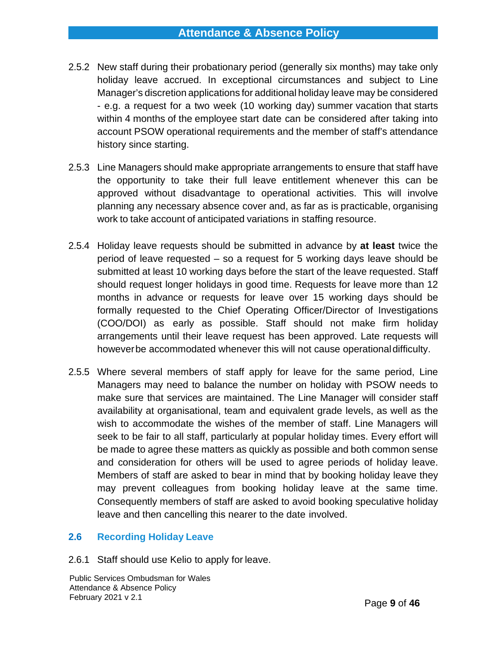# **Attendance & Absence Policy**

- 2.5.2 New staff during their probationary period (generally six months) may take only holiday leave accrued. In exceptional circumstances and subject to Line Manager's discretion applications for additional holiday leave may be considered - e.g. a request for a two week (10 working day) summer vacation that starts within 4 months of the employee start date can be considered after taking into account PSOW operational requirements and the member of staff's attendance history since starting.
- 2.5.3 Line Managers should make appropriate arrangements to ensure that staff have the opportunity to take their full leave entitlement whenever this can be approved without disadvantage to operational activities. This will involve planning any necessary absence cover and, as far as is practicable, organising work to take account of anticipated variations in staffing resource.
- 2.5.4 Holiday leave requests should be submitted in advance by **at least** twice the period of leave requested – so a request for 5 working days leave should be submitted at least 10 working days before the start of the leave requested. Staff should request longer holidays in good time. Requests for leave more than 12 months in advance or requests for leave over 15 working days should be formally requested to the Chief Operating Officer/Director of Investigations (COO/DOI) as early as possible. Staff should not make firm holiday arrangements until their leave request has been approved. Late requests will howeverbe accommodated whenever this will not cause operationaldifficulty.
- 2.5.5 Where several members of staff apply for leave for the same period, Line Managers may need to balance the number on holiday with PSOW needs to make sure that services are maintained. The Line Manager will consider staff availability at organisational, team and equivalent grade levels, as well as the wish to accommodate the wishes of the member of staff. Line Managers will seek to be fair to all staff, particularly at popular holiday times. Every effort will be made to agree these matters as quickly as possible and both common sense and consideration for others will be used to agree periods of holiday leave. Members of staff are asked to bear in mind that by booking holiday leave they may prevent colleagues from booking holiday leave at the same time. Consequently members of staff are asked to avoid booking speculative holiday leave and then cancelling this nearer to the date involved.

#### **2.6 Recording Holiday Leave**

2.6.1 Staff should use Kelio to apply for leave.

Public Services Ombudsman for Wales Attendance & Absence Policy February 2021 v 2.1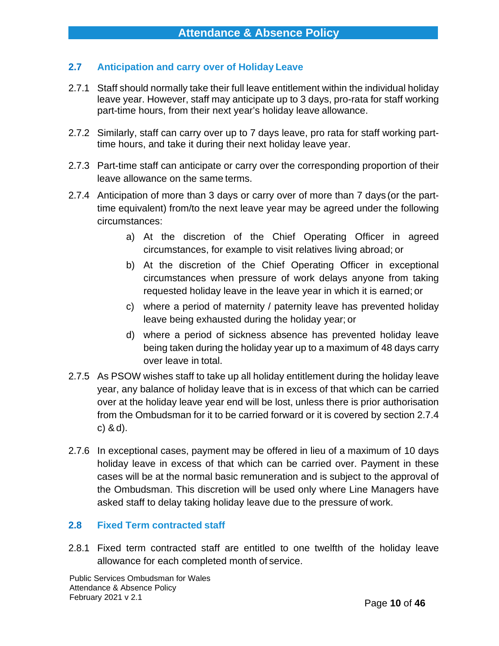# **2.7 Anticipation and carry over of Holiday Leave**

- 2.7.1 Staff should normally take their full leave entitlement within the individual holiday leave year. However, staff may anticipate up to 3 days, pro-rata for staff working part-time hours, from their next year's holiday leave allowance.
- 2.7.2 Similarly, staff can carry over up to 7 days leave, pro rata for staff working parttime hours, and take it during their next holiday leave year.
- 2.7.3 Part-time staff can anticipate or carry over the corresponding proportion of their leave allowance on the same terms.
- 2.7.4 Anticipation of more than 3 days or carry over of more than 7 days (or the parttime equivalent) from/to the next leave year may be agreed under the following circumstances:
	- a) At the discretion of the Chief Operating Officer in agreed circumstances, for example to visit relatives living abroad; or
	- b) At the discretion of the Chief Operating Officer in exceptional circumstances when pressure of work delays anyone from taking requested holiday leave in the leave year in which it is earned; or
	- c) where a period of maternity / paternity leave has prevented holiday leave being exhausted during the holiday year; or
	- d) where a period of sickness absence has prevented holiday leave being taken during the holiday year up to a maximum of 48 days carry over leave in total.
- 2.7.5 As PSOW wishes staff to take up all holiday entitlement during the holiday leave year, any balance of holiday leave that is in excess of that which can be carried over at the holiday leave year end will be lost, unless there is prior authorisation from the Ombudsman for it to be carried forward or it is covered by section 2.7.4 c) &d).
- 2.7.6 In exceptional cases, payment may be offered in lieu of a maximum of 10 days holiday leave in excess of that which can be carried over. Payment in these cases will be at the normal basic remuneration and is subject to the approval of the Ombudsman. This discretion will be used only where Line Managers have asked staff to delay taking holiday leave due to the pressure of work.

# **2.8 Fixed Term contracted staff**

2.8.1 Fixed term contracted staff are entitled to one twelfth of the holiday leave allowance for each completed month of service.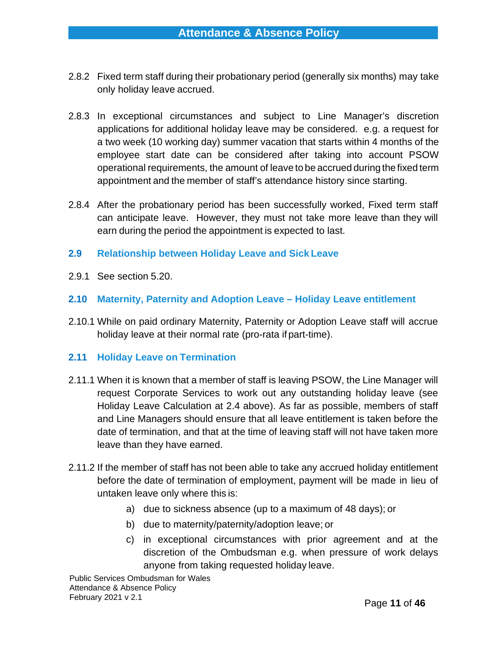- 2.8.2 Fixed term staff during their probationary period (generally six months) may take only holiday leave accrued.
- 2.8.3 In exceptional circumstances and subject to Line Manager's discretion applications for additional holiday leave may be considered. e.g. a request for a two week (10 working day) summer vacation that starts within 4 months of the employee start date can be considered after taking into account PSOW operational requirements, the amount of leave to be accrued during the fixed term appointment and the member of staff's attendance history since starting.
- 2.8.4 After the probationary period has been successfully worked, Fixed term staff can anticipate leave. However, they must not take more leave than they will earn during the period the appointment is expected to last.
- **2.9 Relationship between Holiday Leave and Sick Leave**
- 2.9.1 See section 5.20.
- **2.10 Maternity, Paternity and Adoption Leave – Holiday Leave entitlement**
- 2.10.1 While on paid ordinary Maternity, Paternity or Adoption Leave staff will accrue holiday leave at their normal rate (pro-rata if part-time).

#### **2.11 Holiday Leave on Termination**

- 2.11.1 When it is known that a member of staff is leaving PSOW, the Line Manager will request Corporate Services to work out any outstanding holiday leave (see Holiday Leave Calculation at 2.4 above). As far as possible, members of staff and Line Managers should ensure that all leave entitlement is taken before the date of termination, and that at the time of leaving staff will not have taken more leave than they have earned.
- 2.11.2 If the member of staff has not been able to take any accrued holiday entitlement before the date of termination of employment, payment will be made in lieu of untaken leave only where this is:
	- a) due to sickness absence (up to a maximum of 48 days); or
	- b) due to maternity/paternity/adoption leave; or
	- c) in exceptional circumstances with prior agreement and at the discretion of the Ombudsman e.g. when pressure of work delays anyone from taking requested holiday leave.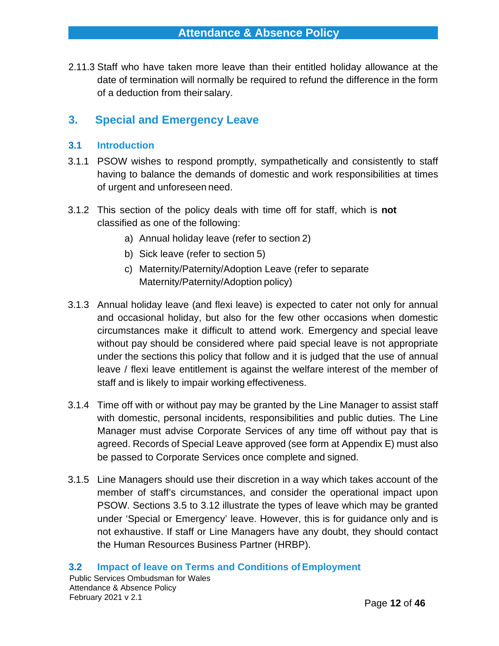2.11.3 Staff who have taken more leave than their entitled holiday allowance at the date of termination will normally be required to refund the difference in the form of a deduction from their salary.

# <span id="page-11-0"></span>**3. Special and Emergency Leave**

#### **3.1 Introduction**

- 3.1.1 PSOW wishes to respond promptly, sympathetically and consistently to staff having to balance the demands of domestic and work responsibilities at times of urgent and unforeseen need.
- 3.1.2 This section of the policy deals with time off for staff, which is **not** classified as one of the following:
	- a) Annual holiday leave (refer to section 2)
	- b) Sick leave (refer to section 5)
	- c) Maternity/Paternity/Adoption Leave (refer to separate Maternity/Paternity/Adoption policy)
- 3.1.3 Annual holiday leave (and flexi leave) is expected to cater not only for annual and occasional holiday, but also for the few other occasions when domestic circumstances make it difficult to attend work. Emergency and special leave without pay should be considered where paid special leave is not appropriate under the sections this policy that follow and it is judged that the use of annual leave / flexi leave entitlement is against the welfare interest of the member of staff and is likely to impair working effectiveness.
- 3.1.4 Time off with or without pay may be granted by the Line Manager to assist staff with domestic, personal incidents, responsibilities and public duties. The Line Manager must advise Corporate Services of any time off without pay that is agreed. Records of Special Leave approved (see form at Appendix E) must also be passed to Corporate Services once complete and signed.
- 3.1.5 Line Managers should use their discretion in a way which takes account of the member of staff's circumstances, and consider the operational impact upon PSOW. Sections 3.5 to 3.12 illustrate the types of leave which may be granted under 'Special or Emergency' leave. However, this is for guidance only and is not exhaustive. If staff or Line Managers have any doubt, they should contact the Human Resources Business Partner (HRBP).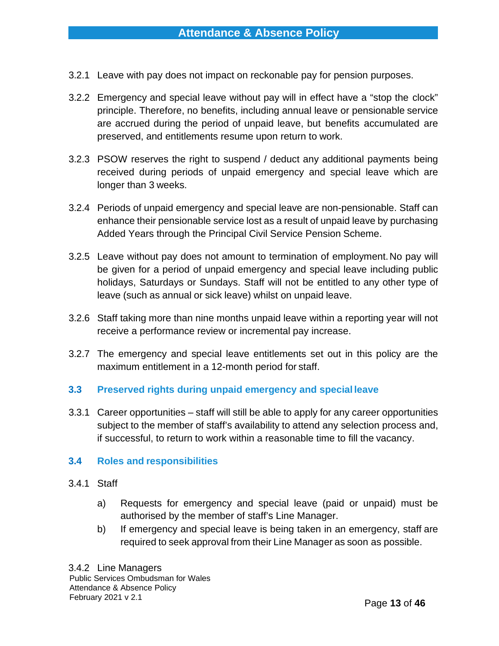- 3.2.1 Leave with pay does not impact on reckonable pay for pension purposes.
- 3.2.2 Emergency and special leave without pay will in effect have a "stop the clock" principle. Therefore, no benefits, including annual leave or pensionable service are accrued during the period of unpaid leave, but benefits accumulated are preserved, and entitlements resume upon return to work.
- 3.2.3 PSOW reserves the right to suspend / deduct any additional payments being received during periods of unpaid emergency and special leave which are longer than 3 weeks.
- 3.2.4 Periods of unpaid emergency and special leave are non-pensionable. Staff can enhance their pensionable service lost as a result of unpaid leave by purchasing Added Years through the Principal Civil Service Pension Scheme.
- 3.2.5 Leave without pay does not amount to termination of employment.No pay will be given for a period of unpaid emergency and special leave including public holidays, Saturdays or Sundays. Staff will not be entitled to any other type of leave (such as annual or sick leave) whilst on unpaid leave.
- 3.2.6 Staff taking more than nine months unpaid leave within a reporting year will not receive a performance review or incremental pay increase.
- 3.2.7 The emergency and special leave entitlements set out in this policy are the maximum entitlement in a 12-month period for staff.
- **3.3 Preserved rights during unpaid emergency and special leave**
- 3.3.1 Career opportunities staff will still be able to apply for any career opportunities subject to the member of staff's availability to attend any selection process and, if successful, to return to work within a reasonable time to fill the vacancy.

# **3.4 Roles and responsibilities**

- 3.4.1 Staff
	- a) Requests for emergency and special leave (paid or unpaid) must be authorised by the member of staff's Line Manager.
	- b) If emergency and special leave is being taken in an emergency, staff are required to seek approval from their Line Manager as soon as possible.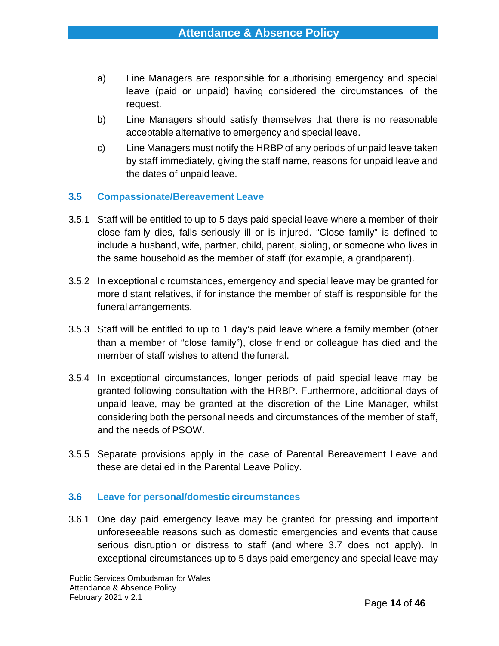- a) Line Managers are responsible for authorising emergency and special leave (paid or unpaid) having considered the circumstances of the request.
- b) Line Managers should satisfy themselves that there is no reasonable acceptable alternative to emergency and special leave.
- c) Line Managers must notify the HRBP of any periods of unpaid leave taken by staff immediately, giving the staff name, reasons for unpaid leave and the dates of unpaid leave.

# **3.5 Compassionate/Bereavement Leave**

- 3.5.1 Staff will be entitled to up to 5 days paid special leave where a member of their close family dies, falls seriously ill or is injured. "Close family" is defined to include a husband, wife, partner, child, parent, sibling, or someone who lives in the same household as the member of staff (for example, a grandparent).
- 3.5.2 In exceptional circumstances, emergency and special leave may be granted for more distant relatives, if for instance the member of staff is responsible for the funeral arrangements.
- 3.5.3 Staff will be entitled to up to 1 day's paid leave where a family member (other than a member of "close family"), close friend or colleague has died and the member of staff wishes to attend the funeral.
- 3.5.4 In exceptional circumstances, longer periods of paid special leave may be granted following consultation with the HRBP. Furthermore, additional days of unpaid leave, may be granted at the discretion of the Line Manager, whilst considering both the personal needs and circumstances of the member of staff, and the needs of PSOW.
- 3.5.5 Separate provisions apply in the case of Parental Bereavement Leave and these are detailed in the Parental Leave Policy.

#### **3.6 Leave for personal/domestic circumstances**

3.6.1 One day paid emergency leave may be granted for pressing and important unforeseeable reasons such as domestic emergencies and events that cause serious disruption or distress to staff (and where 3.7 does not apply). In exceptional circumstances up to 5 days paid emergency and special leave may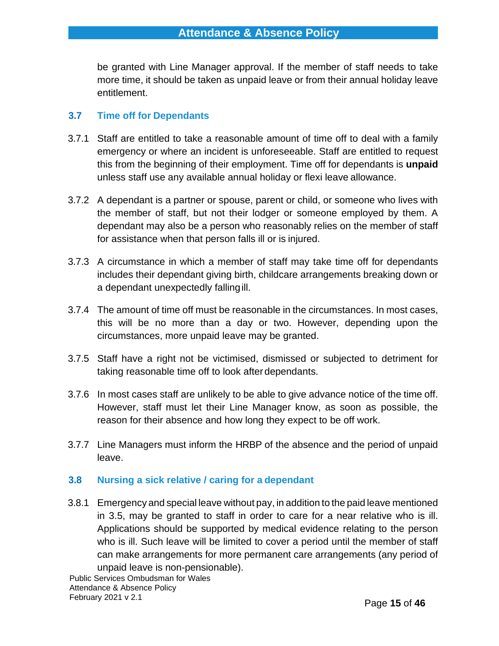be granted with Line Manager approval. If the member of staff needs to take more time, it should be taken as unpaid leave or from their annual holiday leave entitlement.

# **3.7 Time off for Dependants**

- 3.7.1 Staff are entitled to take a reasonable amount of time off to deal with a family emergency or where an incident is unforeseeable. Staff are entitled to request this from the beginning of their employment. Time off for dependants is **unpaid**  unless staff use any available annual holiday or flexi leave allowance.
- 3.7.2 A dependant is a partner or spouse, parent or child, or someone who lives with the member of staff, but not their lodger or someone employed by them. A dependant may also be a person who reasonably relies on the member of staff for assistance when that person falls ill or is injured.
- 3.7.3 A circumstance in which a member of staff may take time off for dependants includes their dependant giving birth, childcare arrangements breaking down or a dependant unexpectedly fallingill.
- 3.7.4 The amount of time off must be reasonable in the circumstances. In most cases, this will be no more than a day or two. However, depending upon the circumstances, more unpaid leave may be granted.
- 3.7.5 Staff have a right not be victimised, dismissed or subjected to detriment for taking reasonable time off to look afterdependants.
- 3.7.6 In most cases staff are unlikely to be able to give advance notice of the time off. However, staff must let their Line Manager know, as soon as possible, the reason for their absence and how long they expect to be off work.
- 3.7.7 Line Managers must inform the HRBP of the absence and the period of unpaid leave.

# **3.8 Nursing a sick relative / caring for a dependant**

3.8.1 Emergency and special leave without pay, in addition to the paid leave mentioned in 3.5, may be granted to staff in order to care for a near relative who is ill. Applications should be supported by medical evidence relating to the person who is ill. Such leave will be limited to cover a period until the member of staff can make arrangements for more permanent care arrangements (any period of unpaid leave is non-pensionable).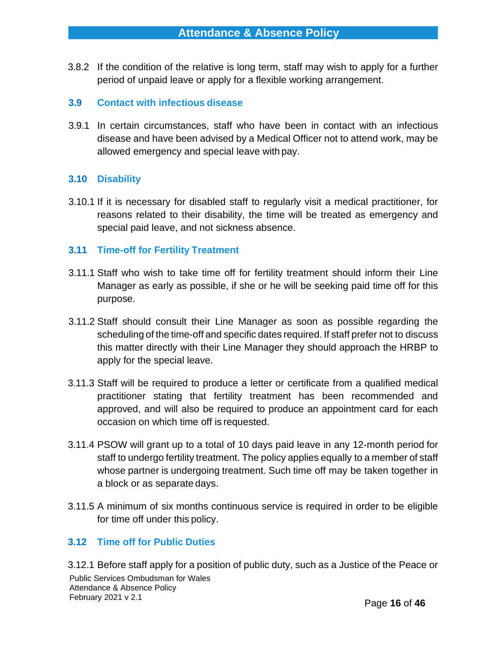3.8.2 If the condition of the relative is long term, staff may wish to apply for a further period of unpaid leave or apply for a flexible working arrangement.

#### **3.9 Contact with infectious disease**

3.9.1 In certain circumstances, staff who have been in contact with an infectious disease and have been advised by a Medical Officer not to attend work, may be allowed emergency and special leave with pay.

#### **3.10 Disability**

3.10.1 If it is necessary for disabled staff to regularly visit a medical practitioner, for reasons related to their disability, the time will be treated as emergency and special paid leave, and not sickness absence.

#### **3.11 Time-off for Fertility Treatment**

- 3.11.1 Staff who wish to take time off for fertility treatment should inform their Line Manager as early as possible, if she or he will be seeking paid time off for this purpose.
- 3.11.2 Staff should consult their Line Manager as soon as possible regarding the scheduling of the time-off and specific dates required. If staff prefer not to discuss this matter directly with their Line Manager they should approach the HRBP to apply for the special leave.
- 3.11.3 Staff will be required to produce a letter or certificate from a qualified medical practitioner stating that fertility treatment has been recommended and approved, and will also be required to produce an appointment card for each occasion on which time off is requested.
- 3.11.4 PSOW will grant up to a total of 10 days paid leave in any 12-month period for staff to undergo fertility treatment. The policy applies equally to a member of staff whose partner is undergoing treatment. Such time off may be taken together in a block or as separate days.
- 3.11.5 A minimum of six months continuous service is required in order to be eligible for time off under this policy.

#### **3.12 Time off for Public Duties**

Public Services Ombudsman for Wales Attendance & Absence Policy February 2021 v 2.1 3.12.1 Before staff apply for a position of public duty, such as a Justice of the Peace or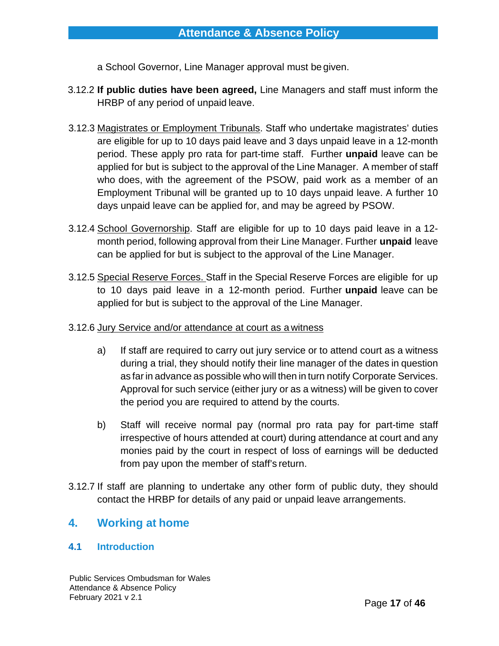a School Governor, Line Manager approval must be given.

- 3.12.2 **If public duties have been agreed,** Line Managers and staff must inform the HRBP of any period of unpaid leave.
- 3.12.3 Magistrates or Employment Tribunals. Staff who undertake magistrates' duties are eligible for up to 10 days paid leave and 3 days unpaid leave in a 12-month period. These apply pro rata for part-time staff. Further **unpaid** leave can be applied for but is subject to the approval of the Line Manager. A member of staff who does, with the agreement of the PSOW, paid work as a member of an Employment Tribunal will be granted up to 10 days unpaid leave. A further 10 days unpaid leave can be applied for, and may be agreed by PSOW.
- 3.12.4 School Governorship. Staff are eligible for up to 10 days paid leave in a 12 month period, following approval from their Line Manager. Further **unpaid** leave can be applied for but is subject to the approval of the Line Manager.
- 3.12.5 Special Reserve Forces. Staff in the Special Reserve Forces are eligible for up to 10 days paid leave in a 12-month period. Further **unpaid** leave can be applied for but is subject to the approval of the Line Manager.
- 3.12.6 Jury Service and/or attendance at court as a witness
	- a) If staff are required to carry out jury service or to attend court as a witness during a trial, they should notify their line manager of the dates in question as far in advance as possible who will then in turn notify Corporate Services. Approval for such service (either jury or as a witness) will be given to cover the period you are required to attend by the courts.
	- b) Staff will receive normal pay (normal pro rata pay for part-time staff irrespective of hours attended at court) during attendance at court and any monies paid by the court in respect of loss of earnings will be deducted from pay upon the member of staff's return.
- 3.12.7 If staff are planning to undertake any other form of public duty, they should contact the HRBP for details of any paid or unpaid leave arrangements.

# <span id="page-16-0"></span>**4. Working at home**

# **4.1 Introduction**

Public Services Ombudsman for Wales Attendance & Absence Policy February 2021 v 2.1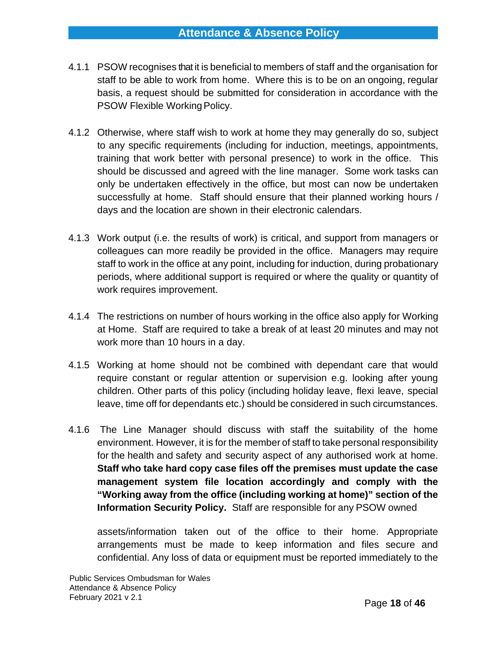- 4.1.1 PSOW recognises that it is beneficial to members of staff and the organisation for staff to be able to work from home. Where this is to be on an ongoing, regular basis, a request should be submitted for consideration in accordance with the PSOW Flexible Working Policy.
- 4.1.2 Otherwise, where staff wish to work at home they may generally do so, subject to any specific requirements (including for induction, meetings, appointments, training that work better with personal presence) to work in the office. This should be discussed and agreed with the line manager. Some work tasks can only be undertaken effectively in the office, but most can now be undertaken successfully at home. Staff should ensure that their planned working hours / days and the location are shown in their electronic calendars.
- 4.1.3 Work output (i.e. the results of work) is critical, and support from managers or colleagues can more readily be provided in the office. Managers may require staff to work in the office at any point, including for induction, during probationary periods, where additional support is required or where the quality or quantity of work requires improvement.
- 4.1.4 The restrictions on number of hours working in the office also apply for Working at Home. Staff are required to take a break of at least 20 minutes and may not work more than 10 hours in a day.
- 4.1.5 Working at home should not be combined with dependant care that would require constant or regular attention or supervision e.g. looking after young children. Other parts of this policy (including holiday leave, flexi leave, special leave, time off for dependants etc.) should be considered in such circumstances.
- 4.1.6 The Line Manager should discuss with staff the suitability of the home environment. However, it is for the member of staff to take personal responsibility for the health and safety and security aspect of any authorised work at home. **Staff who take hard copy case files off the premises must update the case management system file location accordingly and comply with the "Working away from the office (including working at home)" section of the Information Security Policy.** Staff are responsible for any PSOW owned

assets/information taken out of the office to their home. Appropriate arrangements must be made to keep information and files secure and confidential. Any loss of data or equipment must be reported immediately to the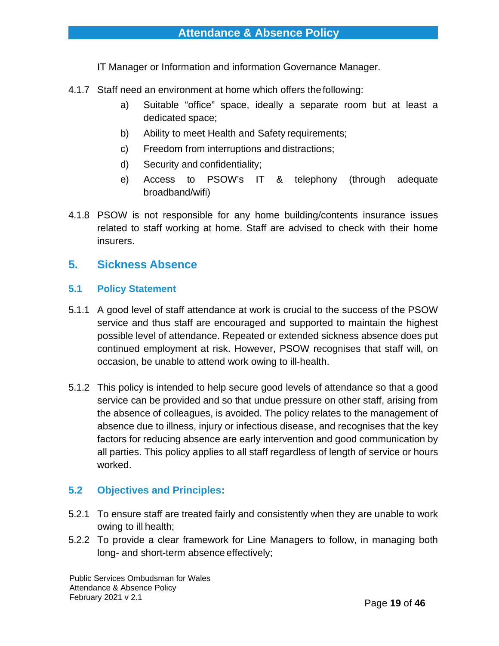IT Manager or Information and information Governance Manager.

- 4.1.7 Staff need an environment at home which offers the following:
	- a) Suitable "office" space, ideally a separate room but at least a dedicated space;
	- b) Ability to meet Health and Safety requirements;
	- c) Freedom from interruptions and distractions;
	- d) Security and confidentiality;
	- e) Access to PSOW's IT & telephony (through adequate broadband/wifi)
- 4.1.8 PSOW is not responsible for any home building/contents insurance issues related to staff working at home. Staff are advised to check with their home insurers.

# <span id="page-18-0"></span>**5. Sickness Absence**

#### **5.1 Policy Statement**

- 5.1.1 A good level of staff attendance at work is crucial to the success of the PSOW service and thus staff are encouraged and supported to maintain the highest possible level of attendance. Repeated or extended sickness absence does put continued employment at risk. However, PSOW recognises that staff will, on occasion, be unable to attend work owing to ill-health.
- 5.1.2 This policy is intended to help secure good levels of attendance so that a good service can be provided and so that undue pressure on other staff, arising from the absence of colleagues, is avoided. The policy relates to the management of absence due to illness, injury or infectious disease, and recognises that the key factors for reducing absence are early intervention and good communication by all parties. This policy applies to all staff regardless of length of service or hours worked.

# **5.2 Objectives and Principles:**

- 5.2.1 To ensure staff are treated fairly and consistently when they are unable to work owing to ill health;
- 5.2.2 To provide a clear framework for Line Managers to follow, in managing both long- and short-term absence effectively;

Public Services Ombudsman for Wales Attendance & Absence Policy February 2021 v 2.1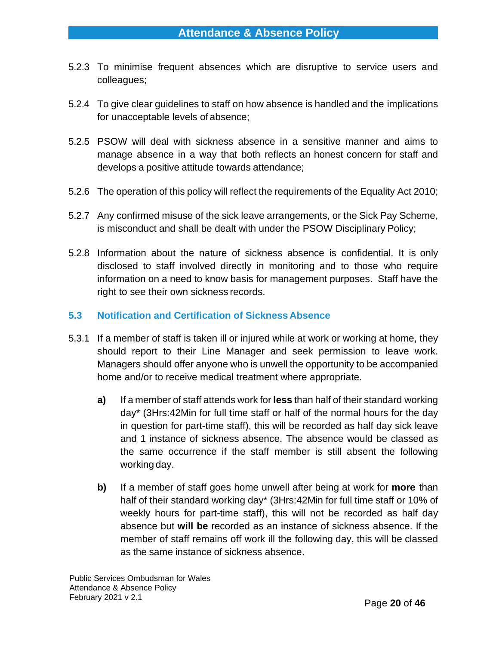- 5.2.3 To minimise frequent absences which are disruptive to service users and colleagues;
- 5.2.4 To give clear guidelines to staff on how absence is handled and the implications for unacceptable levels of absence;
- 5.2.5 PSOW will deal with sickness absence in a sensitive manner and aims to manage absence in a way that both reflects an honest concern for staff and develops a positive attitude towards attendance;
- 5.2.6 The operation of this policy will reflect the requirements of the Equality Act 2010;
- 5.2.7 Any confirmed misuse of the sick leave arrangements, or the Sick Pay Scheme, is misconduct and shall be dealt with under the PSOW Disciplinary Policy;
- 5.2.8 Information about the nature of sickness absence is confidential. It is only disclosed to staff involved directly in monitoring and to those who require information on a need to know basis for management purposes. Staff have the right to see their own sickness records.

# **5.3 Notification and Certification of Sickness Absence**

- 5.3.1 If a member of staff is taken ill or injured while at work or working at home, they should report to their Line Manager and seek permission to leave work. Managers should offer anyone who is unwell the opportunity to be accompanied home and/or to receive medical treatment where appropriate.
	- **a)** If a member of staff attends work for **less** than half of their standard working day\* (3Hrs:42Min for full time staff or half of the normal hours for the day in question for part-time staff), this will be recorded as half day sick leave and 1 instance of sickness absence. The absence would be classed as the same occurrence if the staff member is still absent the following working day.
	- **b)** If a member of staff goes home unwell after being at work for **more** than half of their standard working day\* (3Hrs:42Min for full time staff or 10% of weekly hours for part-time staff), this will not be recorded as half day absence but **will be** recorded as an instance of sickness absence. If the member of staff remains off work ill the following day, this will be classed as the same instance of sickness absence.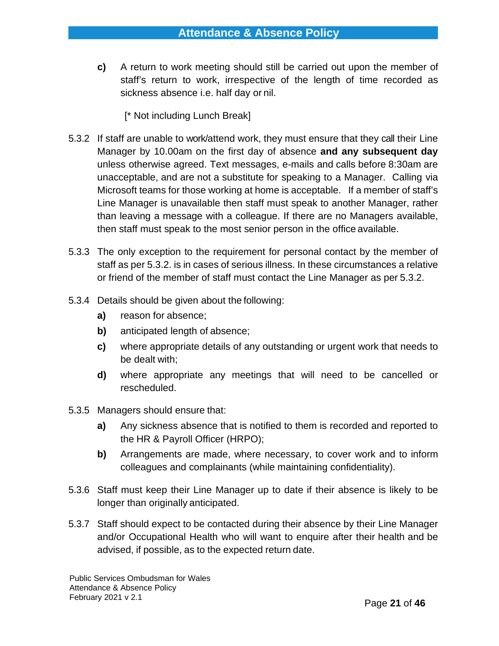**c)** A return to work meeting should still be carried out upon the member of staff's return to work, irrespective of the length of time recorded as sickness absence i.e. half day or nil.

# [\* Not including Lunch Break]

- 5.3.2 If staff are unable to work/attend work, they must ensure that they call their Line Manager by 10.00am on the first day of absence **and any subsequent day**  unless otherwise agreed. Text messages, e-mails and calls before 8:30am are unacceptable, and are not a substitute for speaking to a Manager. Calling via Microsoft teams for those working at home is acceptable. If a member of staff's Line Manager is unavailable then staff must speak to another Manager, rather than leaving a message with a colleague. If there are no Managers available, then staff must speak to the most senior person in the office available.
- 5.3.3 The only exception to the requirement for personal contact by the member of staff as per 5.3.2. is in cases of serious illness. In these circumstances a relative or friend of the member of staff must contact the Line Manager as per 5.3.2.
- 5.3.4 Details should be given about the following:
	- **a)** reason for absence;
	- **b)** anticipated length of absence;
	- **c)** where appropriate details of any outstanding or urgent work that needs to be dealt with;
	- **d)** where appropriate any meetings that will need to be cancelled or rescheduled.
- 5.3.5 Managers should ensure that:
	- **a)** Any sickness absence that is notified to them is recorded and reported to the HR & Payroll Officer (HRPO);
	- **b)** Arrangements are made, where necessary, to cover work and to inform colleagues and complainants (while maintaining confidentiality).
- 5.3.6 Staff must keep their Line Manager up to date if their absence is likely to be longer than originally anticipated.
- 5.3.7 Staff should expect to be contacted during their absence by their Line Manager and/or Occupational Health who will want to enquire after their health and be advised, if possible, as to the expected return date.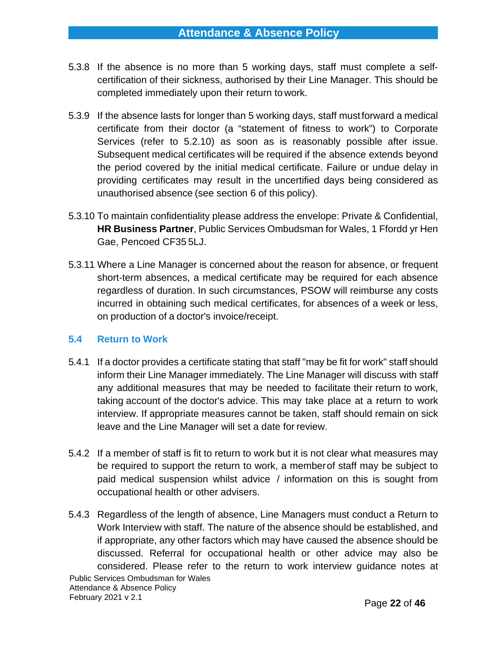- 5.3.8 If the absence is no more than 5 working days, staff must complete a selfcertification of their sickness, authorised by their Line Manager. This should be completed immediately upon their return to work.
- 5.3.9 If the absence lasts for longer than 5 working days, staff mustforward a medical certificate from their doctor (a "statement of fitness to work") to Corporate Services (refer to 5.2.10) as soon as is reasonably possible after issue. Subsequent medical certificates will be required if the absence extends beyond the period covered by the initial medical certificate. Failure or undue delay in providing certificates may result in the uncertified days being considered as unauthorised absence (see section 6 of this policy).
- 5.3.10 To maintain confidentiality please address the envelope: Private & Confidential, **HR Business Partner**, Public Services Ombudsman for Wales, 1 Ffordd yr Hen Gae, Pencoed CF35 5LJ.
- 5.3.11 Where a Line Manager is concerned about the reason for absence, or frequent short-term absences, a medical certificate may be required for each absence regardless of duration. In such circumstances, PSOW will reimburse any costs incurred in obtaining such medical certificates, for absences of a week or less, on production of a doctor's invoice/receipt.

#### **5.4 Return to Work**

- 5.4.1 If a doctor provides a certificate stating that staff "may be fit for work" staff should inform their Line Manager immediately. The Line Manager will discuss with staff any additional measures that may be needed to facilitate their return to work, taking account of the doctor's advice. This may take place at a return to work interview. If appropriate measures cannot be taken, staff should remain on sick leave and the Line Manager will set a date for review.
- 5.4.2 If a member of staff is fit to return to work but it is not clear what measures may be required to support the return to work, a memberof staff may be subject to paid medical suspension whilst advice / information on this is sought from occupational health or other advisers.
- Public Services Ombudsman for Wales Attendance & Absence Policy February 2021 v 2.1 5.4.3 Regardless of the length of absence, Line Managers must conduct a Return to Work Interview with staff. The nature of the absence should be established, and if appropriate, any other factors which may have caused the absence should be discussed. Referral for occupational health or other advice may also be considered. Please refer to the return to work interview guidance notes at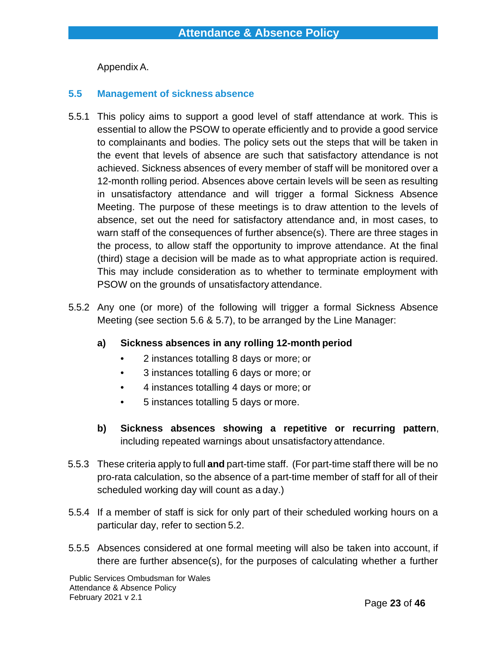Appendix A.

### **5.5 Management of sickness absence**

- 5.5.1 This policy aims to support a good level of staff attendance at work. This is essential to allow the PSOW to operate efficiently and to provide a good service to complainants and bodies. The policy sets out the steps that will be taken in the event that levels of absence are such that satisfactory attendance is not achieved. Sickness absences of every member of staff will be monitored over a 12-month rolling period. Absences above certain levels will be seen as resulting in unsatisfactory attendance and will trigger a formal Sickness Absence Meeting. The purpose of these meetings is to draw attention to the levels of absence, set out the need for satisfactory attendance and, in most cases, to warn staff of the consequences of further absence(s). There are three stages in the process, to allow staff the opportunity to improve attendance. At the final (third) stage a decision will be made as to what appropriate action is required. This may include consideration as to whether to terminate employment with PSOW on the grounds of unsatisfactory attendance.
- 5.5.2 Any one (or more) of the following will trigger a formal Sickness Absence Meeting (see section 5.6 & 5.7), to be arranged by the Line Manager:
	- **a) Sickness absences in any rolling 12-month period**
		- 2 instances totalling 8 days or more; or
		- 3 instances totalling 6 days or more; or
		- 4 instances totalling 4 days or more; or
		- 5 instances totalling 5 days or more.
	- **b) Sickness absences showing a repetitive or recurring pattern**, including repeated warnings about unsatisfactory attendance.
- 5.5.3 These criteria apply to full **and** part-time staff. (For part-time staff there will be no pro-rata calculation, so the absence of a part-time member of staff for all of their scheduled working day will count as a day.)
- 5.5.4 If a member of staff is sick for only part of their scheduled working hours on a particular day, refer to section 5.2.
- 5.5.5 Absences considered at one formal meeting will also be taken into account, if there are further absence(s), for the purposes of calculating whether a further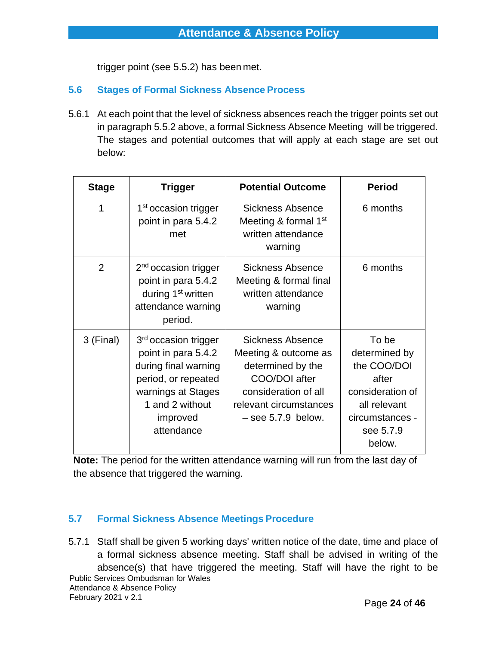trigger point (see 5.5.2) has been met.

## **5.6 Stages of Formal Sickness Absence Process**

5.6.1 At each point that the level of sickness absences reach the trigger points set out in paragraph 5.5.2 above, a formal Sickness Absence Meeting will be triggered. The stages and potential outcomes that will apply at each stage are set out below:

| <b>Stage</b>   | <b>Trigger</b>                                                                                                                                                            | <b>Potential Outcome</b>                                                                                                                                        | <b>Period</b>                                                                                                                |
|----------------|---------------------------------------------------------------------------------------------------------------------------------------------------------------------------|-----------------------------------------------------------------------------------------------------------------------------------------------------------------|------------------------------------------------------------------------------------------------------------------------------|
| 1              | 1 <sup>st</sup> occasion trigger<br>point in para 5.4.2<br>met                                                                                                            | <b>Sickness Absence</b><br>Meeting & formal $1st$<br>written attendance<br>warning                                                                              | 6 months                                                                                                                     |
| $\overline{2}$ | $2nd$ occasion trigger<br>point in para 5.4.2<br>during 1 <sup>st</sup> written<br>attendance warning<br>period.                                                          | <b>Sickness Absence</b><br>Meeting & formal final<br>written attendance<br>warning                                                                              | 6 months                                                                                                                     |
| 3 (Final)      | 3 <sup>rd</sup> occasion trigger<br>point in para 5.4.2<br>during final warning<br>period, or repeated<br>warnings at Stages<br>1 and 2 without<br>improved<br>attendance | <b>Sickness Absence</b><br>Meeting & outcome as<br>determined by the<br>COO/DOI after<br>consideration of all<br>relevant circumstances<br>$-$ see 5.7.9 below. | To be<br>determined by<br>the COO/DOI<br>after<br>consideration of<br>all relevant<br>circumstances -<br>see 5.7.9<br>below. |

**Note:** The period for the written attendance warning will run from the last day of the absence that triggered the warning.

# **5.7 Formal Sickness Absence Meetings Procedure**

Public Services Ombudsman for Wales Attendance & Absence Policy February 2021 v 2.1 5.7.1 Staff shall be given 5 working days' written notice of the date, time and place of a formal sickness absence meeting. Staff shall be advised in writing of the absence(s) that have triggered the meeting. Staff will have the right to be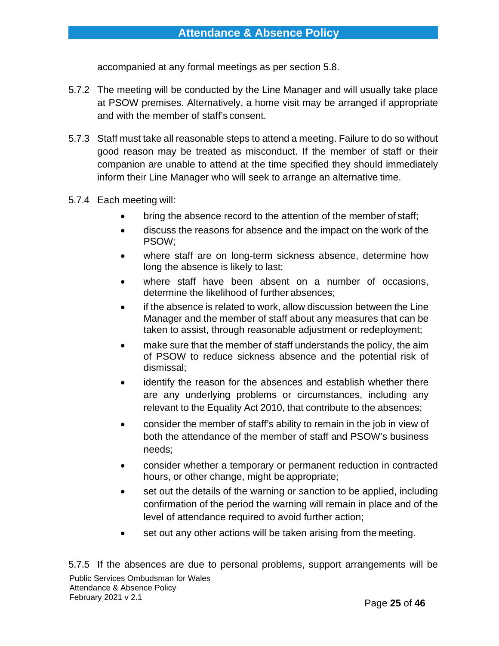accompanied at any formal meetings as per section 5.8.

- 5.7.2 The meeting will be conducted by the Line Manager and will usually take place at PSOW premises. Alternatively, a home visit may be arranged if appropriate and with the member of staff's consent.
- 5.7.3 Staff must take all reasonable steps to attend a meeting. Failure to do so without good reason may be treated as misconduct. If the member of staff or their companion are unable to attend at the time specified they should immediately inform their Line Manager who will seek to arrange an alternative time.
- 5.7.4 Each meeting will:
	- bring the absence record to the attention of the member of staff;
	- discuss the reasons for absence and the impact on the work of the PSOW;
	- where staff are on long-term sickness absence, determine how long the absence is likely to last;
	- where staff have been absent on a number of occasions, determine the likelihood of further absences;
	- if the absence is related to work, allow discussion between the Line Manager and the member of staff about any measures that can be taken to assist, through reasonable adjustment or redeployment;
	- make sure that the member of staff understands the policy, the aim of PSOW to reduce sickness absence and the potential risk of dismissal;
	- identify the reason for the absences and establish whether there are any underlying problems or circumstances, including any relevant to the Equality Act 2010, that contribute to the absences;
	- consider the member of staff's ability to remain in the job in view of both the attendance of the member of staff and PSOW's business needs;
	- consider whether a temporary or permanent reduction in contracted hours, or other change, might be appropriate;
	- set out the details of the warning or sanction to be applied, including confirmation of the period the warning will remain in place and of the level of attendance required to avoid further action;
	- set out any other actions will be taken arising from the meeting.

Page **25** of **46** Public Services Ombudsman for Wales Attendance & Absence Policy February 2021 v 2.1 5.7.5 If the absences are due to personal problems, support arrangements will be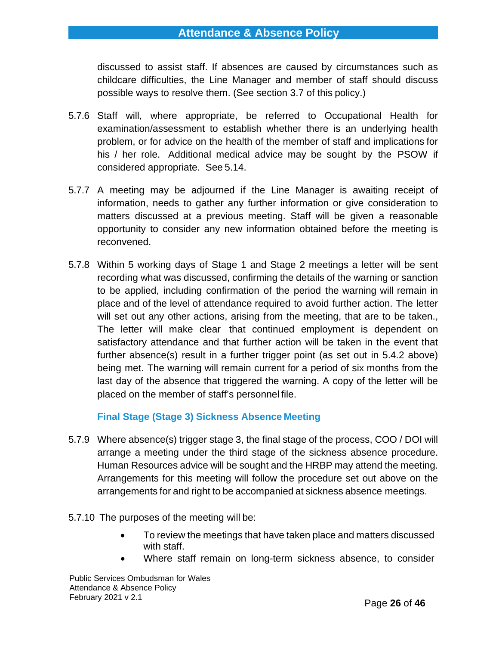# **Attendance & Absence Policy**

discussed to assist staff. If absences are caused by circumstances such as childcare difficulties, the Line Manager and member of staff should discuss possible ways to resolve them. (See section 3.7 of this policy.)

- 5.7.6 Staff will, where appropriate, be referred to Occupational Health for examination/assessment to establish whether there is an underlying health problem, or for advice on the health of the member of staff and implications for his / her role. Additional medical advice may be sought by the PSOW if considered appropriate. See 5.14.
- 5.7.7 A meeting may be adjourned if the Line Manager is awaiting receipt of information, needs to gather any further information or give consideration to matters discussed at a previous meeting. Staff will be given a reasonable opportunity to consider any new information obtained before the meeting is reconvened.
- 5.7.8 Within 5 working days of Stage 1 and Stage 2 meetings a letter will be sent recording what was discussed, confirming the details of the warning or sanction to be applied, including confirmation of the period the warning will remain in place and of the level of attendance required to avoid further action. The letter will set out any other actions, arising from the meeting, that are to be taken., The letter will make clear that continued employment is dependent on satisfactory attendance and that further action will be taken in the event that further absence(s) result in a further trigger point (as set out in 5.4.2 above) being met. The warning will remain current for a period of six months from the last day of the absence that triggered the warning. A copy of the letter will be placed on the member of staff's personnel file.

#### **Final Stage (Stage 3) Sickness Absence Meeting**

- 5.7.9 Where absence(s) trigger stage 3, the final stage of the process, COO / DOI will arrange a meeting under the third stage of the sickness absence procedure. Human Resources advice will be sought and the HRBP may attend the meeting. Arrangements for this meeting will follow the procedure set out above on the arrangements for and right to be accompanied at sickness absence meetings.
- 5.7.10 The purposes of the meeting will be:
	- To review the meetings that have taken place and matters discussed with staff.
	- Where staff remain on long-term sickness absence, to consider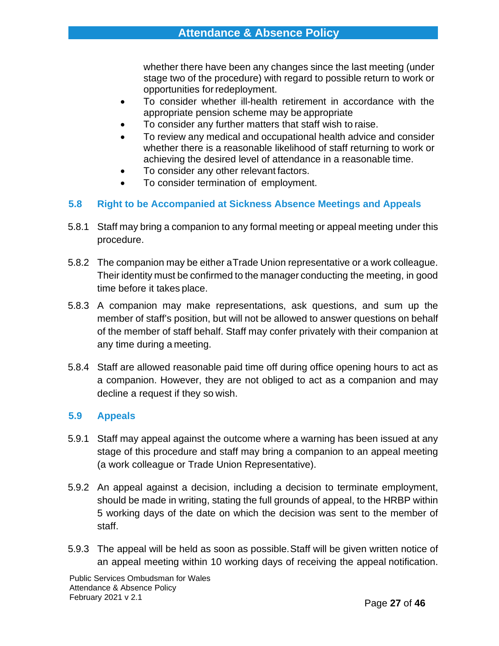whether there have been any changes since the last meeting (under stage two of the procedure) with regard to possible return to work or opportunities forredeployment.

- To consider whether ill-health retirement in accordance with the appropriate pension scheme may be appropriate
- To consider any further matters that staff wish to raise.
- To review any medical and occupational health advice and consider whether there is a reasonable likelihood of staff returning to work or achieving the desired level of attendance in a reasonable time.
- To consider any other relevant factors.
- To consider termination of employment.

### **5.8 Right to be Accompanied at Sickness Absence Meetings and Appeals**

- 5.8.1 Staff may bring a companion to any formal meeting or appeal meeting under this procedure.
- 5.8.2 The companion may be either aTrade Union representative or a work colleague. Their identity must be confirmed to the manager conducting the meeting, in good time before it takes place.
- 5.8.3 A companion may make representations, ask questions, and sum up the member of staff's position, but will not be allowed to answer questions on behalf of the member of staff behalf. Staff may confer privately with their companion at any time during a meeting.
- 5.8.4 Staff are allowed reasonable paid time off during office opening hours to act as a companion. However, they are not obliged to act as a companion and may decline a request if they so wish.

#### **5.9 Appeals**

- 5.9.1 Staff may appeal against the outcome where a warning has been issued at any stage of this procedure and staff may bring a companion to an appeal meeting (a work colleague or Trade Union Representative).
- 5.9.2 An appeal against a decision, including a decision to terminate employment, should be made in writing, stating the full grounds of appeal, to the HRBP within 5 working days of the date on which the decision was sent to the member of staff.
- 5.9.3 The appeal will be held as soon as possible.Staff will be given written notice of an appeal meeting within 10 working days of receiving the appeal notification.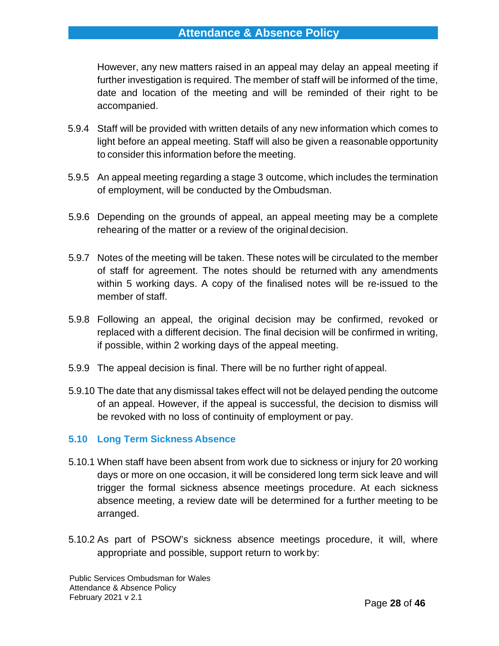# **Attendance & Absence Policy**

However, any new matters raised in an appeal may delay an appeal meeting if further investigation is required. The member of staff will be informed of the time, date and location of the meeting and will be reminded of their right to be accompanied.

- 5.9.4 Staff will be provided with written details of any new information which comes to light before an appeal meeting. Staff will also be given a reasonable opportunity to consider this information before the meeting.
- 5.9.5 An appeal meeting regarding a stage 3 outcome, which includes the termination of employment, will be conducted by the Ombudsman.
- 5.9.6 Depending on the grounds of appeal, an appeal meeting may be a complete rehearing of the matter or a review of the original decision.
- 5.9.7 Notes of the meeting will be taken. These notes will be circulated to the member of staff for agreement. The notes should be returned with any amendments within 5 working days. A copy of the finalised notes will be re-issued to the member of staff.
- 5.9.8 Following an appeal, the original decision may be confirmed, revoked or replaced with a different decision. The final decision will be confirmed in writing, if possible, within 2 working days of the appeal meeting.
- 5.9.9 The appeal decision is final. There will be no further right of appeal.
- 5.9.10 The date that any dismissal takes effect will not be delayed pending the outcome of an appeal. However, if the appeal is successful, the decision to dismiss will be revoked with no loss of continuity of employment or pay.

# **5.10 Long Term Sickness Absence**

- 5.10.1 When staff have been absent from work due to sickness or injury for 20 working days or more on one occasion, it will be considered long term sick leave and will trigger the formal sickness absence meetings procedure. At each sickness absence meeting, a review date will be determined for a further meeting to be arranged.
- 5.10.2 As part of PSOW's sickness absence meetings procedure, it will, where appropriate and possible, support return to work by: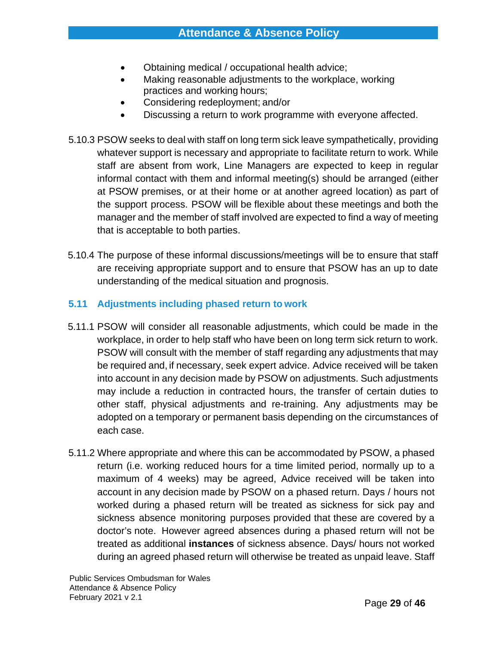- Obtaining medical / occupational health advice;
- Making reasonable adjustments to the workplace, working practices and working hours;
- Considering redeployment; and/or
- Discussing a return to work programme with everyone affected.
- 5.10.3 PSOW seeks to deal with staff on long term sick leave sympathetically, providing whatever support is necessary and appropriate to facilitate return to work. While staff are absent from work, Line Managers are expected to keep in regular informal contact with them and informal meeting(s) should be arranged (either at PSOW premises, or at their home or at another agreed location) as part of the support process. PSOW will be flexible about these meetings and both the manager and the member of staff involved are expected to find a way of meeting that is acceptable to both parties.
- 5.10.4 The purpose of these informal discussions/meetings will be to ensure that staff are receiving appropriate support and to ensure that PSOW has an up to date understanding of the medical situation and prognosis.

# **5.11 Adjustments including phased return to work**

- 5.11.1 PSOW will consider all reasonable adjustments, which could be made in the workplace, in order to help staff who have been on long term sick return to work. PSOW will consult with the member of staff regarding any adjustments that may be required and, if necessary, seek expert advice. Advice received will be taken into account in any decision made by PSOW on adjustments. Such adjustments may include a reduction in contracted hours, the transfer of certain duties to other staff, physical adjustments and re-training. Any adjustments may be adopted on a temporary or permanent basis depending on the circumstances of each case.
- 5.11.2 Where appropriate and where this can be accommodated by PSOW, a phased return (i.e. working reduced hours for a time limited period, normally up to a maximum of 4 weeks) may be agreed, Advice received will be taken into account in any decision made by PSOW on a phased return. Days / hours not worked during a phased return will be treated as sickness for sick pay and sickness absence monitoring purposes provided that these are covered by a doctor's note. However agreed absences during a phased return will not be treated as additional **instances** of sickness absence. Days/ hours not worked during an agreed phased return will otherwise be treated as unpaid leave. Staff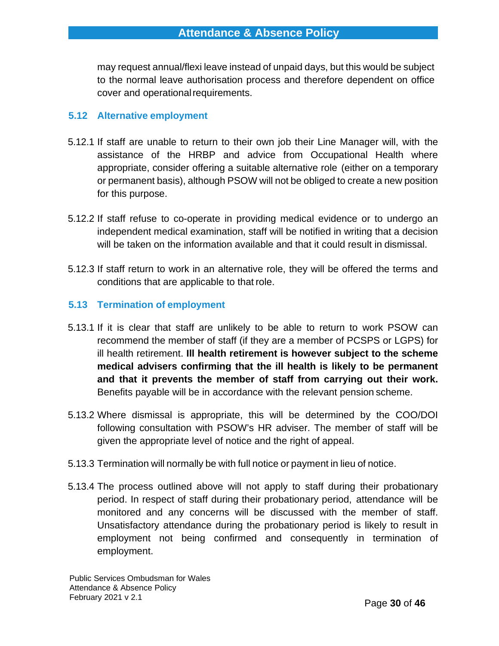may request annual/flexi leave instead of unpaid days, but this would be subject to the normal leave authorisation process and therefore dependent on office cover and operational requirements.

## **5.12 Alternative employment**

- 5.12.1 If staff are unable to return to their own job their Line Manager will, with the assistance of the HRBP and advice from Occupational Health where appropriate, consider offering a suitable alternative role (either on a temporary or permanent basis), although PSOW will not be obliged to create a new position for this purpose.
- 5.12.2 If staff refuse to co-operate in providing medical evidence or to undergo an independent medical examination, staff will be notified in writing that a decision will be taken on the information available and that it could result in dismissal.
- 5.12.3 If staff return to work in an alternative role, they will be offered the terms and conditions that are applicable to that role.

# **5.13 Termination of employment**

- 5.13.1 If it is clear that staff are unlikely to be able to return to work PSOW can recommend the member of staff (if they are a member of PCSPS or LGPS) for ill health retirement. **Ill health retirement is however subject to the scheme medical advisers confirming that the ill health is likely to be permanent and that it prevents the member of staff from carrying out their work.**  Benefits payable will be in accordance with the relevant pension scheme.
- 5.13.2 Where dismissal is appropriate, this will be determined by the COO/DOI following consultation with PSOW's HR adviser. The member of staff will be given the appropriate level of notice and the right of appeal.
- 5.13.3 Termination will normally be with full notice or payment in lieu of notice.
- 5.13.4 The process outlined above will not apply to staff during their probationary period. In respect of staff during their probationary period, attendance will be monitored and any concerns will be discussed with the member of staff. Unsatisfactory attendance during the probationary period is likely to result in employment not being confirmed and consequently in termination of employment.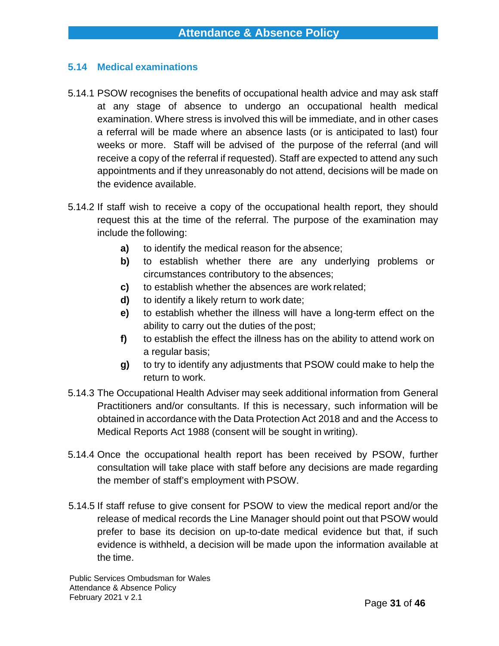### **5.14 Medical examinations**

- 5.14.1 PSOW recognises the benefits of occupational health advice and may ask staff at any stage of absence to undergo an occupational health medical examination. Where stress is involved this will be immediate, and in other cases a referral will be made where an absence lasts (or is anticipated to last) four weeks or more. Staff will be advised of the purpose of the referral (and will receive a copy of the referral if requested). Staff are expected to attend any such appointments and if they unreasonably do not attend, decisions will be made on the evidence available.
- 5.14.2 If staff wish to receive a copy of the occupational health report, they should request this at the time of the referral. The purpose of the examination may include the following:
	- **a)** to identify the medical reason for the absence;
	- **b)** to establish whether there are any underlying problems or circumstances contributory to the absences;
	- **c)** to establish whether the absences are work related;
	- **d)** to identify a likely return to work date;
	- **e)** to establish whether the illness will have a long-term effect on the ability to carry out the duties of the post;
	- **f)** to establish the effect the illness has on the ability to attend work on a regular basis;
	- **g)** to try to identify any adjustments that PSOW could make to help the return to work.
- 5.14.3 The Occupational Health Adviser may seek additional information from General Practitioners and/or consultants. If this is necessary, such information will be obtained in accordance with the Data Protection Act 2018 and and the Access to Medical Reports Act 1988 (consent will be sought in writing).
- 5.14.4 Once the occupational health report has been received by PSOW, further consultation will take place with staff before any decisions are made regarding the member of staff's employment with PSOW.
- 5.14.5 If staff refuse to give consent for PSOW to view the medical report and/or the release of medical records the Line Manager should point out that PSOW would prefer to base its decision on up-to-date medical evidence but that, if such evidence is withheld, a decision will be made upon the information available at the time.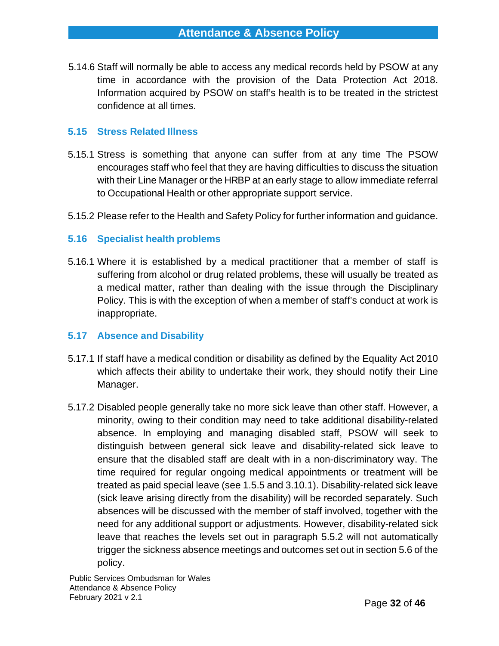5.14.6 Staff will normally be able to access any medical records held by PSOW at any time in accordance with the provision of the Data Protection Act 2018. Information acquired by PSOW on staff's health is to be treated in the strictest confidence at all times.

## **5.15 Stress Related Illness**

- 5.15.1 Stress is something that anyone can suffer from at any time The PSOW encourages staff who feel that they are having difficulties to discuss the situation with their Line Manager or the HRBP at an early stage to allow immediate referral to Occupational Health or other appropriate support service.
- 5.15.2 Please refer to the Health and Safety Policy for further information and guidance.

### **5.16 Specialist health problems**

5.16.1 Where it is established by a medical practitioner that a member of staff is suffering from alcohol or drug related problems, these will usually be treated as a medical matter, rather than dealing with the issue through the Disciplinary Policy. This is with the exception of when a member of staff's conduct at work is inappropriate.

#### **5.17 Absence and Disability**

- 5.17.1 If staff have a medical condition or disability as defined by the Equality Act 2010 which affects their ability to undertake their work, they should notify their Line Manager.
- 5.17.2 Disabled people generally take no more sick leave than other staff. However, a minority, owing to their condition may need to take additional disability-related absence. In employing and managing disabled staff, PSOW will seek to distinguish between general sick leave and disability-related sick leave to ensure that the disabled staff are dealt with in a non-discriminatory way. The time required for regular ongoing medical appointments or treatment will be treated as paid special leave (see 1.5.5 and 3.10.1). Disability-related sick leave (sick leave arising directly from the disability) will be recorded separately. Such absences will be discussed with the member of staff involved, together with the need for any additional support or adjustments. However, disability-related sick leave that reaches the levels set out in paragraph 5.5.2 will not automatically trigger the sickness absence meetings and outcomes set out in section 5.6 of the policy.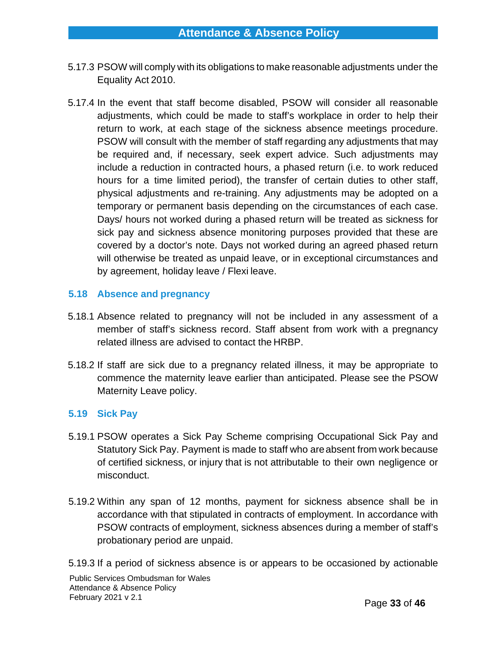- 5.17.3 PSOW will comply with its obligations to make reasonable adjustments under the Equality Act 2010.
- 5.17.4 In the event that staff become disabled, PSOW will consider all reasonable adjustments, which could be made to staff's workplace in order to help their return to work, at each stage of the sickness absence meetings procedure. PSOW will consult with the member of staff regarding any adjustments that may be required and, if necessary, seek expert advice. Such adjustments may include a reduction in contracted hours, a phased return (i.e. to work reduced hours for a time limited period), the transfer of certain duties to other staff, physical adjustments and re-training. Any adjustments may be adopted on a temporary or permanent basis depending on the circumstances of each case. Days/ hours not worked during a phased return will be treated as sickness for sick pay and sickness absence monitoring purposes provided that these are covered by a doctor's note. Days not worked during an agreed phased return will otherwise be treated as unpaid leave, or in exceptional circumstances and by agreement, holiday leave / Flexi leave.

### **5.18 Absence and pregnancy**

- 5.18.1 Absence related to pregnancy will not be included in any assessment of a member of staff's sickness record. Staff absent from work with a pregnancy related illness are advised to contact the HRBP.
- 5.18.2 If staff are sick due to a pregnancy related illness, it may be appropriate to commence the maternity leave earlier than anticipated. Please see the PSOW Maternity Leave policy.

#### **5.19 Sick Pay**

- 5.19.1 PSOW operates a Sick Pay Scheme comprising Occupational Sick Pay and Statutory Sick Pay. Payment is made to staff who areabsent from work because of certified sickness, or injury that is not attributable to their own negligence or misconduct.
- 5.19.2 Within any span of 12 months, payment for sickness absence shall be in accordance with that stipulated in contracts of employment. In accordance with PSOW contracts of employment, sickness absences during a member of staff's probationary period are unpaid.

5.19.3 If a period of sickness absence is or appears to be occasioned by actionable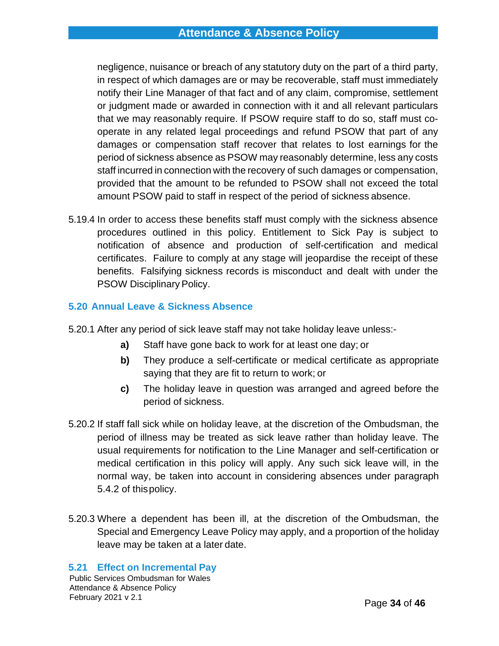negligence, nuisance or breach of any statutory duty on the part of a third party, in respect of which damages are or may be recoverable, staff must immediately notify their Line Manager of that fact and of any claim, compromise, settlement or judgment made or awarded in connection with it and all relevant particulars that we may reasonably require. If PSOW require staff to do so, staff must cooperate in any related legal proceedings and refund PSOW that part of any damages or compensation staff recover that relates to lost earnings for the period of sickness absence as PSOW may reasonably determine, less any costs staff incurred in connection with the recovery of such damages or compensation, provided that the amount to be refunded to PSOW shall not exceed the total amount PSOW paid to staff in respect of the period of sickness absence.

5.19.4 In order to access these benefits staff must comply with the sickness absence procedures outlined in this policy. Entitlement to Sick Pay is subject to notification of absence and production of self-certification and medical certificates. Failure to comply at any stage will jeopardise the receipt of these benefits. Falsifying sickness records is misconduct and dealt with under the PSOW Disciplinary Policy.

### **5.20 Annual Leave & Sickness Absence**

- 5.20.1 After any period of sick leave staff may not take holiday leave unless:
	- **a)** Staff have gone back to work for at least one day; or
	- **b)** They produce a self-certificate or medical certificate as appropriate saying that they are fit to return to work; or
	- **c)** The holiday leave in question was arranged and agreed before the period of sickness.
- 5.20.2 If staff fall sick while on holiday leave, at the discretion of the Ombudsman, the period of illness may be treated as sick leave rather than holiday leave. The usual requirements for notification to the Line Manager and self-certification or medical certification in this policy will apply. Any such sick leave will, in the normal way, be taken into account in considering absences under paragraph 5.4.2 of thispolicy.
- 5.20.3 Where a dependent has been ill, at the discretion of the Ombudsman, the Special and Emergency Leave Policy may apply, and a proportion of the holiday leave may be taken at a later date.

# **5.21 Effect on Incremental Pay**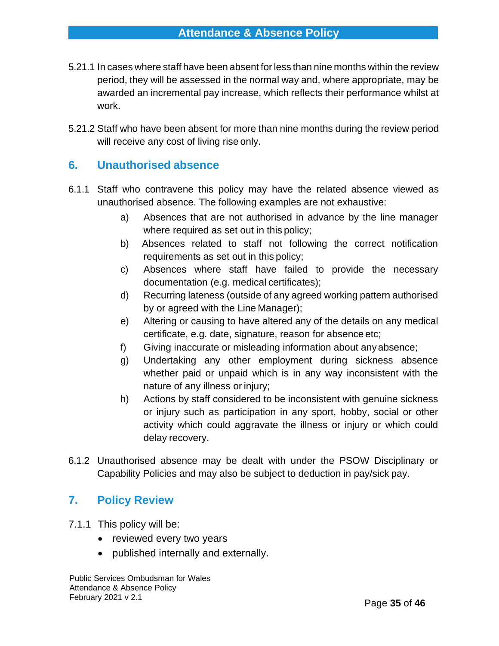- 5.21.1 In cases where staff have been absent for less than nine months within the review period, they will be assessed in the normal way and, where appropriate, may be awarded an incremental pay increase, which reflects their performance whilst at work.
- 5.21.2 Staff who have been absent for more than nine months during the review period will receive any cost of living rise only.

# <span id="page-34-0"></span>**6. Unauthorised absence**

- 6.1.1 Staff who contravene this policy may have the related absence viewed as unauthorised absence. The following examples are not exhaustive:
	- a) Absences that are not authorised in advance by the line manager where required as set out in this policy;
	- b) Absences related to staff not following the correct notification requirements as set out in this policy;
	- c) Absences where staff have failed to provide the necessary documentation (e.g. medical certificates);
	- d) Recurring lateness (outside of any agreed working pattern authorised by or agreed with the Line Manager);
	- e) Altering or causing to have altered any of the details on any medical certificate, e.g. date, signature, reason for absence etc;
	- f) Giving inaccurate or misleading information about anyabsence;
	- g) Undertaking any other employment during sickness absence whether paid or unpaid which is in any way inconsistent with the nature of any illness or injury;
	- h) Actions by staff considered to be inconsistent with genuine sickness or injury such as participation in any sport, hobby, social or other activity which could aggravate the illness or injury or which could delay recovery.
- 6.1.2 Unauthorised absence may be dealt with under the PSOW Disciplinary or Capability Policies and may also be subject to deduction in pay/sick pay.

# <span id="page-34-1"></span>**7. Policy Review**

- 7.1.1 This policy will be:
	- reviewed every two years
	- published internally and externally.

Public Services Ombudsman for Wales Attendance & Absence Policy February 2021 v 2.1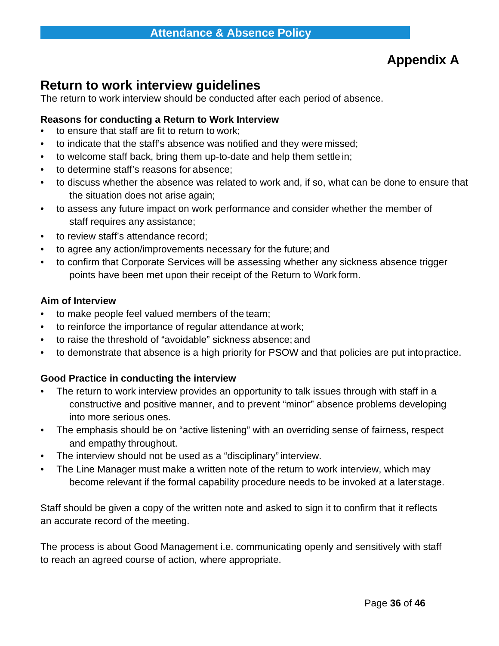# **Appendix A**

# <span id="page-35-0"></span>**Return to work interview guidelines**

The return to work interview should be conducted after each period of absence.

## **Reasons for conducting a Return to Work Interview**

- to ensure that staff are fit to return to work;
- to indicate that the staff's absence was notified and they were missed;
- to welcome staff back, bring them up-to-date and help them settle in;
- to determine staff's reasons for absence;
- to discuss whether the absence was related to work and, if so, what can be done to ensure that the situation does not arise again;
- to assess any future impact on work performance and consider whether the member of staff requires any assistance;
- to review staff's attendance record;
- to agree any action/improvements necessary for the future; and
- to confirm that Corporate Services will be assessing whether any sickness absence trigger points have been met upon their receipt of the Return to Work form.

#### **Aim of Interview**

- to make people feel valued members of the team;
- to reinforce the importance of regular attendance at work;
- to raise the threshold of "avoidable" sickness absence; and
- to demonstrate that absence is a high priority for PSOW and that policies are put intopractice.

# **Good Practice in conducting the interview**

- The return to work interview provides an opportunity to talk issues through with staff in a constructive and positive manner, and to prevent "minor" absence problems developing into more serious ones.
- The emphasis should be on "active listening" with an overriding sense of fairness, respect and empathy throughout.
- The interview should not be used as a "disciplinary" interview.
- The Line Manager must make a written note of the return to work interview, which may become relevant if the formal capability procedure needs to be invoked at a laterstage.

Staff should be given a copy of the written note and asked to sign it to confirm that it reflects an accurate record of the meeting.

The process is about Good Management i.e. communicating openly and sensitively with staff to reach an agreed course of action, where appropriate.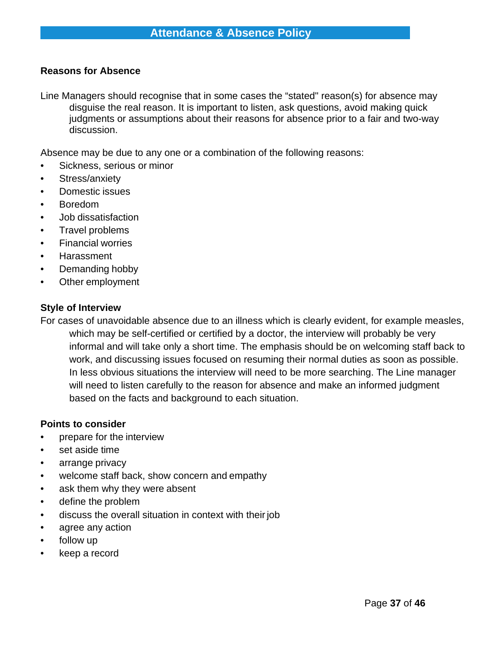#### **Reasons for Absence**

Line Managers should recognise that in some cases the "stated" reason(s) for absence may disguise the real reason. It is important to listen, ask questions, avoid making quick judgments or assumptions about their reasons for absence prior to a fair and two-way discussion.

Absence may be due to any one or a combination of the following reasons:

- Sickness, serious or minor
- Stress/anxiety
- Domestic issues
- Boredom
- Job dissatisfaction
- Travel problems
- Financial worries
- Harassment
- Demanding hobby
- Other employment

#### **Style of Interview**

For cases of unavoidable absence due to an illness which is clearly evident, for example measles, which may be self-certified or certified by a doctor, the interview will probably be very informal and will take only a short time. The emphasis should be on welcoming staff back to work, and discussing issues focused on resuming their normal duties as soon as possible. In less obvious situations the interview will need to be more searching. The Line manager will need to listen carefully to the reason for absence and make an informed judgment based on the facts and background to each situation.

#### **Points to consider**

- prepare for the interview
- set aside time
- arrange privacy
- welcome staff back, show concern and empathy
- ask them why they were absent
- define the problem
- discuss the overall situation in context with their job
- agree any action
- follow up
- keep a record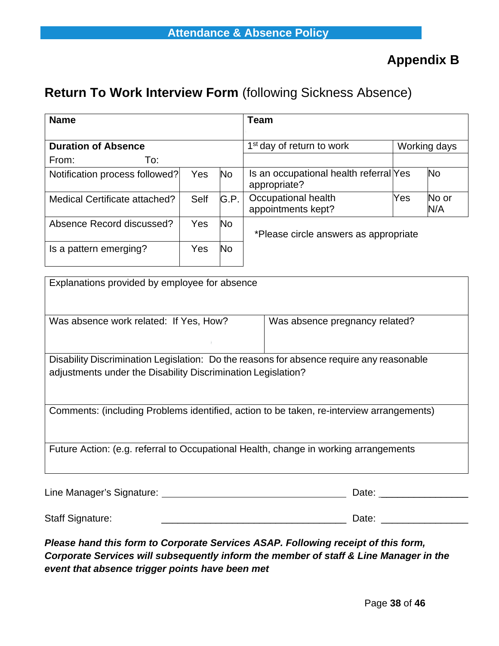# <span id="page-37-0"></span>**Return To Work Interview Form** (following Sickness Absence)

| <b>Name</b>                    |            |                                       | <b>Team</b>                                            |     |              |
|--------------------------------|------------|---------------------------------------|--------------------------------------------------------|-----|--------------|
| <b>Duration of Absence</b>     |            | 1 <sup>st</sup> day of return to work | Working days                                           |     |              |
| To:<br>From:                   |            |                                       |                                                        |     |              |
| Notification process followed? | Yes        | <b>No</b>                             | Is an occupational health referral Yes<br>appropriate? |     | <b>No</b>    |
| Medical Certificate attached?  | Self       | G.P.                                  | Occupational health<br>appointments kept?              | Yes | No or<br>N/A |
| Absence Record discussed?      | <b>Yes</b> | <b>No</b>                             | *Please circle answers as appropriate                  |     |              |
| Is a pattern emerging?         | Yes        | <b>No</b>                             |                                                        |     |              |

| Explanations provided by employee for absence                                                                                                            |                                |  |  |  |  |
|----------------------------------------------------------------------------------------------------------------------------------------------------------|--------------------------------|--|--|--|--|
| Was absence work related: If Yes, How?                                                                                                                   | Was absence pregnancy related? |  |  |  |  |
|                                                                                                                                                          |                                |  |  |  |  |
| Disability Discrimination Legislation: Do the reasons for absence require any reasonable<br>adjustments under the Disability Discrimination Legislation? |                                |  |  |  |  |
| Comments: (including Problems identified, action to be taken, re-interview arrangements)                                                                 |                                |  |  |  |  |
| Future Action: (e.g. referral to Occupational Health, change in working arrangements                                                                     |                                |  |  |  |  |
| Line Manager's Signature: ___                                                                                                                            | Date:                          |  |  |  |  |

Staff Signature: \_\_\_\_\_\_\_\_\_\_\_\_\_\_\_\_\_\_\_\_\_\_\_\_\_\_\_\_\_\_\_\_\_\_ Date: \_\_\_\_\_\_\_\_\_\_\_\_\_\_\_\_

*Please hand this form to Corporate Services ASAP. Following receipt of this form, Corporate Services will subsequently inform the member of staff & Line Manager in the event that absence trigger points have been met*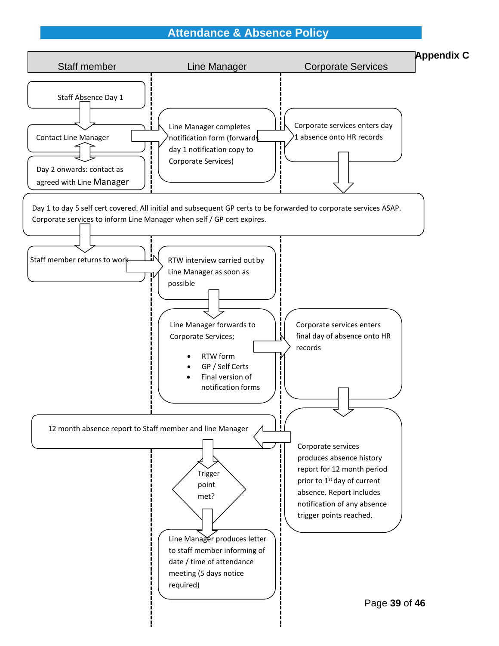# **Attendance & Absence Policy**

<span id="page-38-0"></span>